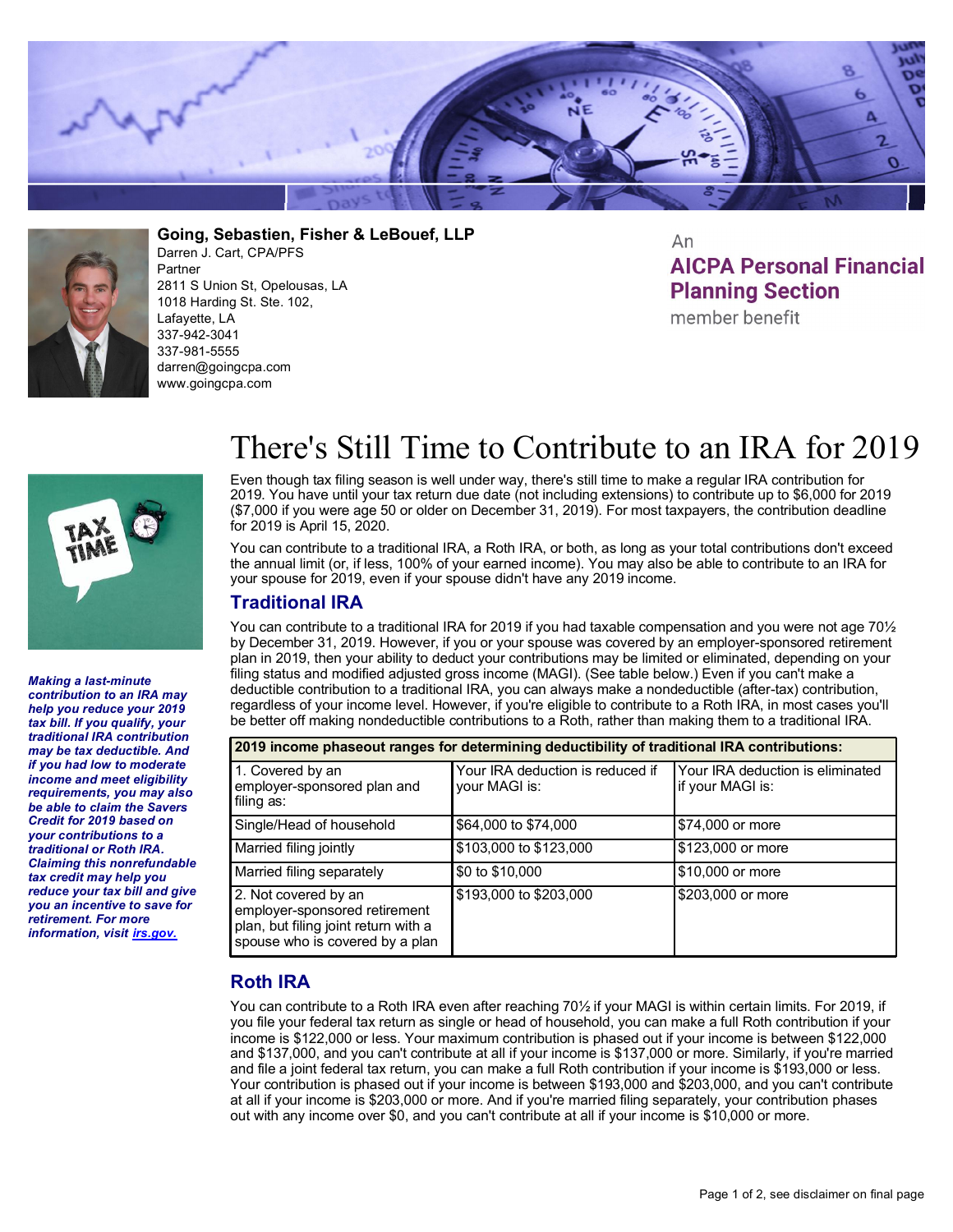



**Going, Sebastien, Fisher & LeBouef, LLP** Darren J. Cart, CPA/PFS Partner 2811 S Union St, Opelousas, LA 1018 Harding St. Ste. 102, Lafayette, LA 337-942-3041 337-981-5555 darren@goingcpa.com www.goingcpa.com

An **AICPA Personal Financial Planning Section** 

member benefit



*Making a last-minute contribution to an IRA may help you reduce your 2019 tax bill. If you qualify, your traditional IRA contribution may be tax deductible. And if you had low to moderate income and meet eligibility requirements, you may also be able to claim the Savers Credit for 2019 based on your contributions to a traditional or Roth IRA. Claiming this nonrefundable tax credit may help you reduce your tax bill and give you an incentive to save for retirement. For more information, visit irs.gov.*

## There's Still Time to Contribute to an IRA for 2019

Even though tax filing season is well under way, there's still time to make a regular IRA contribution for 2019. You have until your tax return due date (not including extensions) to contribute up to \$6,000 for 2019 (\$7,000 if you were age 50 or older on December 31, 2019). For most taxpayers, the contribution deadline for 2019 is April 15, 2020.

You can contribute to a traditional IRA, a Roth IRA, or both, as long as your total contributions don't exceed the annual limit (or, if less, 100% of your earned income). You may also be able to contribute to an IRA for your spouse for 2019, even if your spouse didn't have any 2019 income.

## **Traditional IRA**

You can contribute to a traditional IRA for 2019 if you had taxable compensation and you were not age 701/2 by December 31, 2019. However, if you or your spouse was covered by an employer-sponsored retirement plan in 2019, then your ability to deduct your contributions may be limited or eliminated, depending on your filing status and modified adjusted gross income (MAGI). (See table below.) Even if you can't make a deductible contribution to a traditional IRA, you can always make a nondeductible (after-tax) contribution, regardless of your income level. However, if you're eligible to contribute to a Roth IRA, in most cases you'll be better off making nondeductible contributions to a Roth, rather than making them to a traditional IRA.

| 2019 income phaseout ranges for determining deductibility of traditional IRA contributions:                                      |                                                   |                                                      |  |
|----------------------------------------------------------------------------------------------------------------------------------|---------------------------------------------------|------------------------------------------------------|--|
| 1. Covered by an<br>employer-sponsored plan and<br>filing as:                                                                    | Your IRA deduction is reduced if<br>your MAGI is: | Your IRA deduction is eliminated<br>if your MAGI is: |  |
| Single/Head of household                                                                                                         | \$64,000 to \$74,000                              | \$74,000 or more                                     |  |
| Married filing jointly                                                                                                           | \$103,000 to \$123,000                            | \$123,000 or more                                    |  |
| Married filing separately                                                                                                        | \$0 to \$10,000                                   | \$10,000 or more                                     |  |
| 2. Not covered by an<br>employer-sponsored retirement<br>plan, but filing joint return with a<br>spouse who is covered by a plan | \$193,000 to \$203,000                            | \$203,000 or more                                    |  |

## **Roth IRA**

You can contribute to a Roth IRA even after reaching 70½ if your MAGI is within certain limits. For 2019, if you file your federal tax return as single or head of household, you can make a full Roth contribution if your income is \$122,000 or less. Your maximum contribution is phased out if your income is between \$122,000 and \$137,000, and you can't contribute at all if your income is \$137,000 or more. Similarly, if you're married and file a joint federal tax return, you can make a full Roth contribution if your income is \$193,000 or less. Your contribution is phased out if your income is between \$193,000 and \$203,000, and you can't contribute at all if your income is \$203,000 or more. And if you're married filing separately, your contribution phases out with any income over \$0, and you can't contribute at all if your income is \$10,000 or more.